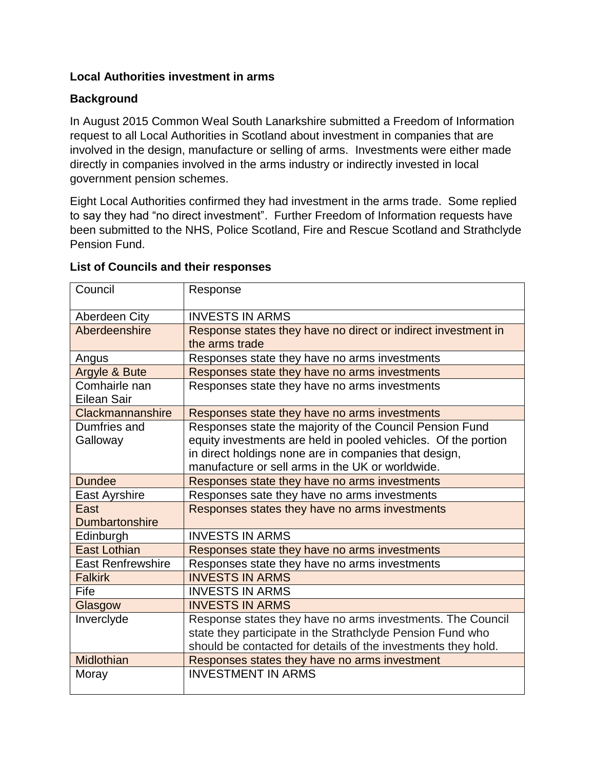# **Local Authorities investment in arms**

# **Background**

In August 2015 Common Weal South Lanarkshire submitted a Freedom of Information request to all Local Authorities in Scotland about investment in companies that are involved in the design, manufacture or selling of arms. Investments were either made directly in companies involved in the arms industry or indirectly invested in local government pension schemes.

Eight Local Authorities confirmed they had investment in the arms trade. Some replied to say they had "no direct investment". Further Freedom of Information requests have been submitted to the NHS, Police Scotland, Fire and Rescue Scotland and Strathclyde Pension Fund.

| Council                      | Response                                                                                                                   |
|------------------------------|----------------------------------------------------------------------------------------------------------------------------|
| Aberdeen City                | <b>INVESTS IN ARMS</b>                                                                                                     |
| Aberdeenshire                | Response states they have no direct or indirect investment in                                                              |
|                              | the arms trade                                                                                                             |
| Angus                        | Responses state they have no arms investments                                                                              |
| Argyle & Bute                | Responses state they have no arms investments                                                                              |
| Comhairle nan<br>Eilean Sair | Responses state they have no arms investments                                                                              |
| Clackmannanshire             |                                                                                                                            |
| Dumfries and                 | Responses state they have no arms investments                                                                              |
| Galloway                     | Responses state the majority of the Council Pension Fund<br>equity investments are held in pooled vehicles. Of the portion |
|                              | in direct holdings none are in companies that design,                                                                      |
|                              | manufacture or sell arms in the UK or worldwide.                                                                           |
| <b>Dundee</b>                |                                                                                                                            |
|                              | Responses state they have no arms investments                                                                              |
| East Ayrshire                | Responses sate they have no arms investments                                                                               |
| East                         | Responses states they have no arms investments                                                                             |
| <b>Dumbartonshire</b>        |                                                                                                                            |
| Edinburgh                    | <b>INVESTS IN ARMS</b>                                                                                                     |
| <b>East Lothian</b>          | Responses state they have no arms investments                                                                              |
| <b>East Renfrewshire</b>     | Responses state they have no arms investments                                                                              |
| <b>Falkirk</b>               | <b>INVESTS IN ARMS</b>                                                                                                     |
| Fife                         | <b>INVESTS IN ARMS</b>                                                                                                     |
| Glasgow                      | <b>INVESTS IN ARMS</b>                                                                                                     |
| Inverclyde                   | Response states they have no arms investments. The Council                                                                 |
|                              | state they participate in the Strathclyde Pension Fund who                                                                 |
|                              | should be contacted for details of the investments they hold.                                                              |
| Midlothian                   | Responses states they have no arms investment                                                                              |
| Moray                        | <b>INVESTMENT IN ARMS</b>                                                                                                  |
|                              |                                                                                                                            |

## **List of Councils and their responses**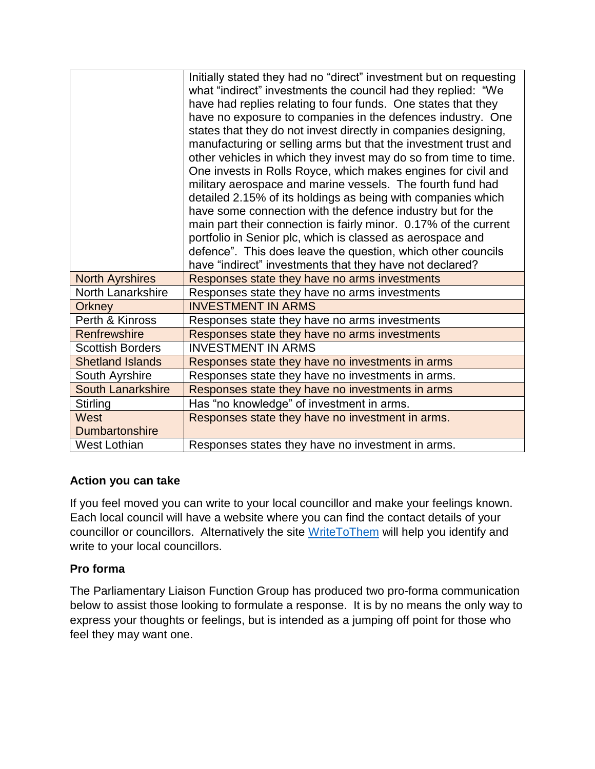|                               | Initially stated they had no "direct" investment but on requesting<br>what "indirect" investments the council had they replied: "We<br>have had replies relating to four funds. One states that they<br>have no exposure to companies in the defences industry. One<br>states that they do not invest directly in companies designing,<br>manufacturing or selling arms but that the investment trust and<br>other vehicles in which they invest may do so from time to time.<br>One invests in Rolls Royce, which makes engines for civil and<br>military aerospace and marine vessels. The fourth fund had<br>detailed 2.15% of its holdings as being with companies which<br>have some connection with the defence industry but for the<br>main part their connection is fairly minor. 0.17% of the current<br>portfolio in Senior plc, which is classed as aerospace and<br>defence". This does leave the question, which other councils<br>have "indirect" investments that they have not declared? |
|-------------------------------|----------------------------------------------------------------------------------------------------------------------------------------------------------------------------------------------------------------------------------------------------------------------------------------------------------------------------------------------------------------------------------------------------------------------------------------------------------------------------------------------------------------------------------------------------------------------------------------------------------------------------------------------------------------------------------------------------------------------------------------------------------------------------------------------------------------------------------------------------------------------------------------------------------------------------------------------------------------------------------------------------------|
| <b>North Ayrshires</b>        | Responses state they have no arms investments                                                                                                                                                                                                                                                                                                                                                                                                                                                                                                                                                                                                                                                                                                                                                                                                                                                                                                                                                            |
| North Lanarkshire             | Responses state they have no arms investments                                                                                                                                                                                                                                                                                                                                                                                                                                                                                                                                                                                                                                                                                                                                                                                                                                                                                                                                                            |
| <b>Orkney</b>                 | <b>INVESTMENT IN ARMS</b>                                                                                                                                                                                                                                                                                                                                                                                                                                                                                                                                                                                                                                                                                                                                                                                                                                                                                                                                                                                |
| Perth & Kinross               | Responses state they have no arms investments                                                                                                                                                                                                                                                                                                                                                                                                                                                                                                                                                                                                                                                                                                                                                                                                                                                                                                                                                            |
| Renfrewshire                  | Responses state they have no arms investments                                                                                                                                                                                                                                                                                                                                                                                                                                                                                                                                                                                                                                                                                                                                                                                                                                                                                                                                                            |
| <b>Scottish Borders</b>       | <b>INVESTMENT IN ARMS</b>                                                                                                                                                                                                                                                                                                                                                                                                                                                                                                                                                                                                                                                                                                                                                                                                                                                                                                                                                                                |
| <b>Shetland Islands</b>       | Responses state they have no investments in arms                                                                                                                                                                                                                                                                                                                                                                                                                                                                                                                                                                                                                                                                                                                                                                                                                                                                                                                                                         |
| South Ayrshire                | Responses state they have no investments in arms.                                                                                                                                                                                                                                                                                                                                                                                                                                                                                                                                                                                                                                                                                                                                                                                                                                                                                                                                                        |
| <b>South Lanarkshire</b>      | Responses state they have no investments in arms                                                                                                                                                                                                                                                                                                                                                                                                                                                                                                                                                                                                                                                                                                                                                                                                                                                                                                                                                         |
| <b>Stirling</b>               | Has "no knowledge" of investment in arms.                                                                                                                                                                                                                                                                                                                                                                                                                                                                                                                                                                                                                                                                                                                                                                                                                                                                                                                                                                |
| West<br><b>Dumbartonshire</b> | Responses state they have no investment in arms.                                                                                                                                                                                                                                                                                                                                                                                                                                                                                                                                                                                                                                                                                                                                                                                                                                                                                                                                                         |
| <b>West Lothian</b>           | Responses states they have no investment in arms.                                                                                                                                                                                                                                                                                                                                                                                                                                                                                                                                                                                                                                                                                                                                                                                                                                                                                                                                                        |

# **Action you can take**

If you feel moved you can write to your local councillor and make your feelings known. Each local council will have a website where you can find the contact details of your councillor or councillors. Alternatively the site [WriteToThem](https://www.writetothem.com/) will help you identify and write to your local councillors.

# **Pro forma**

The Parliamentary Liaison Function Group has produced two pro-forma communication below to assist those looking to formulate a response. It is by no means the only way to express your thoughts or feelings, but is intended as a jumping off point for those who feel they may want one.